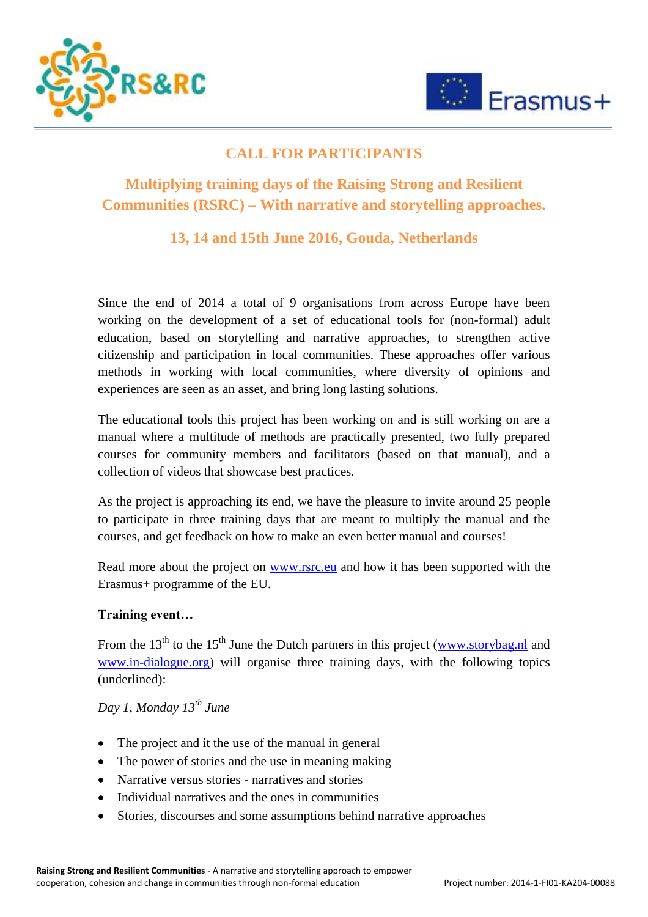



## **CALL FOR PARTICIPANTS**

# **Multiplying training days of the Raising Strong and Resilient Communities (RSRC) – With narrative and storytelling approaches.**

## **13, 14 and 15th June 2016, Gouda, Netherlands**

Since the end of 2014 a total of 9 organisations from across Europe have been working on the development of a set of educational tools for (non-formal) adult education, based on storytelling and narrative approaches, to strengthen active citizenship and participation in local communities. These approaches offer various methods in working with local communities, where diversity of opinions and experiences are seen as an asset, and bring long lasting solutions.

The educational tools this project has been working on and is still working on are a manual where a multitude of methods are practically presented, two fully prepared courses for community members and facilitators (based on that manual), and a collection of videos that showcase best practices.

As the project is approaching its end, we have the pleasure to invite around 25 people to participate in three training days that are meant to multiply the manual and the courses, and get feedback on how to make an even better manual and courses!

Read more about the project on [www.rsrc.eu](http://www.rsrc.eu/) and how it has been supported with the Erasmus+ programme of the EU.

### **Training event…**

From the 13<sup>th</sup> to the 15<sup>th</sup> June the Dutch partners in this project [\(www.storybag.nl](http://www.storybag.nl/) and [www.in-dialogue.org\)](http://www.in-dialogue.org/) will organise three training days, with the following topics (underlined):

*Day 1, Monday 13th June*

- The project and it the use of the manual in general
- The power of stories and the use in meaning making
- Narrative versus stories narratives and stories
- Individual narratives and the ones in communities
- Stories, discourses and some assumptions behind narrative approaches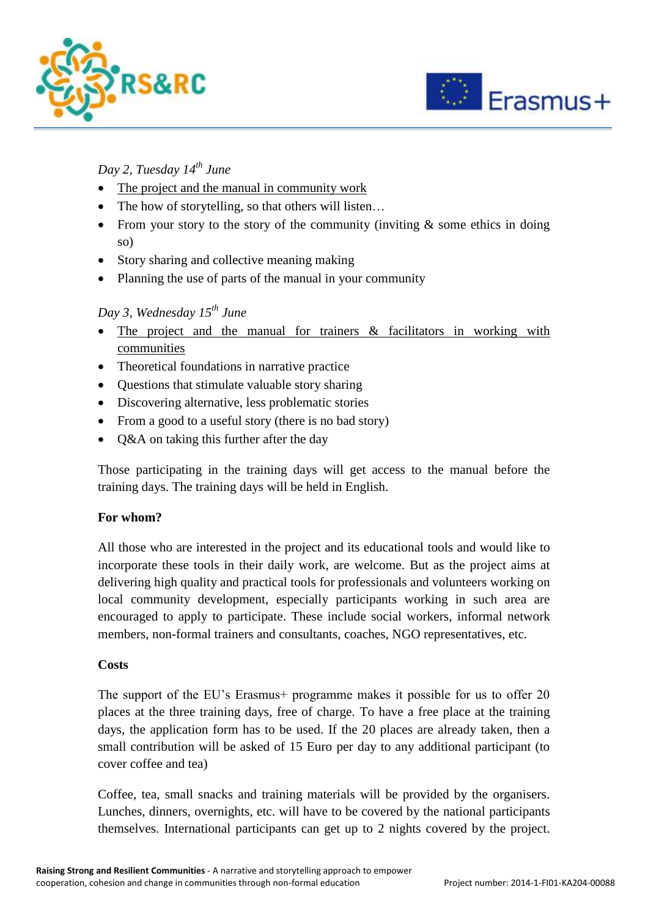



### *Day 2, Tuesday 14th June*

- The project and the manual in community work
- The how of storytelling, so that others will listen...
- From your story to the story of the community (inviting  $\&$  some ethics in doing so)
- Story sharing and collective meaning making
- Planning the use of parts of the manual in your community

### *Day 3, Wednesday 15th June*

- The project and the manual for trainers & facilitators in working with communities
- Theoretical foundations in narrative practice
- Questions that stimulate valuable story sharing
- Discovering alternative, less problematic stories
- From a good to a useful story (there is no bad story)
- O&A on taking this further after the day

Those participating in the training days will get access to the manual before the training days. The training days will be held in English.

### **For whom?**

All those who are interested in the project and its educational tools and would like to incorporate these tools in their daily work, are welcome. But as the project aims at delivering high quality and practical tools for professionals and volunteers working on local community development, especially participants working in such area are encouraged to apply to participate. These include social workers, informal network members, non-formal trainers and consultants, coaches, NGO representatives, etc.

#### **Costs**

The support of the EU's Erasmus+ programme makes it possible for us to offer 20 places at the three training days, free of charge. To have a free place at the training days, the application form has to be used. If the 20 places are already taken, then a small contribution will be asked of 15 Euro per day to any additional participant (to cover coffee and tea)

Coffee, tea, small snacks and training materials will be provided by the organisers. Lunches, dinners, overnights, etc. will have to be covered by the national participants themselves. International participants can get up to 2 nights covered by the project.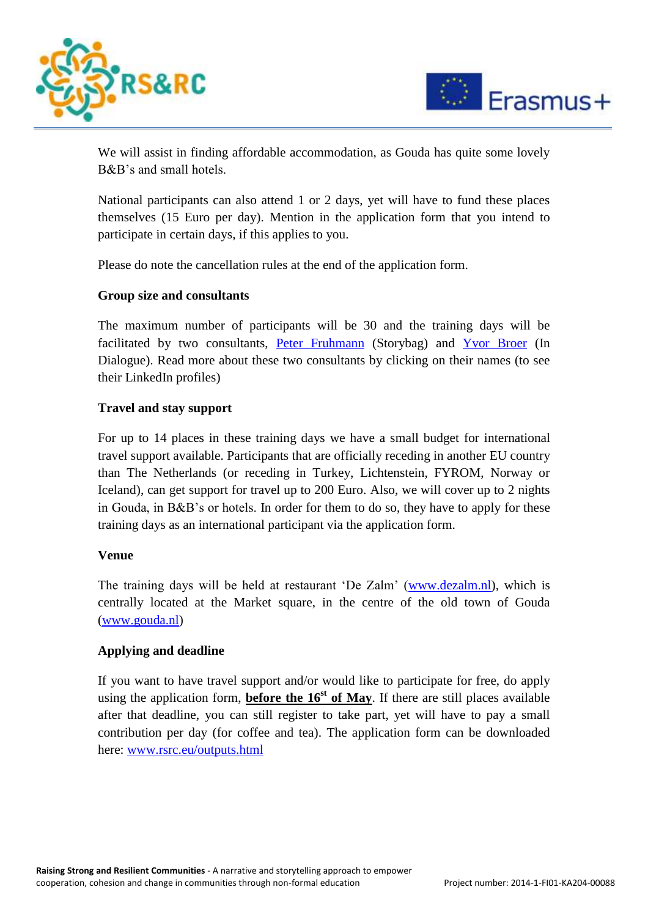



We will assist in finding affordable accommodation, as Gouda has quite some lovely B&B's and small hotels.

National participants can also attend 1 or 2 days, yet will have to fund these places themselves (15 Euro per day). Mention in the application form that you intend to participate in certain days, if this applies to you.

Please do note the cancellation rules at the end of the application form.

#### **Group size and consultants**

The maximum number of participants will be 30 and the training days will be facilitated by two consultants, [Peter Fruhmann](https://nl.linkedin.com/in/peterfruhmann) (Storybag) and [Yvor Broer](https://dk.linkedin.com/in/ybroer) (In Dialogue). Read more about these two consultants by clicking on their names (to see their LinkedIn profiles)

#### **Travel and stay support**

For up to 14 places in these training days we have a small budget for international travel support available. Participants that are officially receding in another EU country than The Netherlands (or receding in Turkey, Lichtenstein, FYROM, Norway or Iceland), can get support for travel up to 200 Euro. Also, we will cover up to 2 nights in Gouda, in B&B's or hotels. In order for them to do so, they have to apply for these training days as an international participant via the application form.

#### **Venue**

The training days will be held at restaurant 'De Zalm' [\(www.dezalm.nl\)](http://www.dezalm.nl/), which is centrally located at the Market square, in the centre of the old town of Gouda [\(www.gouda.nl\)](http://www.gouda.nl/)

#### **Applying and deadline**

If you want to have travel support and/or would like to participate for free, do apply using the application form, **before the**  $16<sup>st</sup>$  **of May**. If there are still places available after that deadline, you can still register to take part, yet will have to pay a small contribution per day (for coffee and tea). The application form can be downloaded here: [www.rsrc.eu/outputs.html](http://www.rsrc.eu/outputs.html)